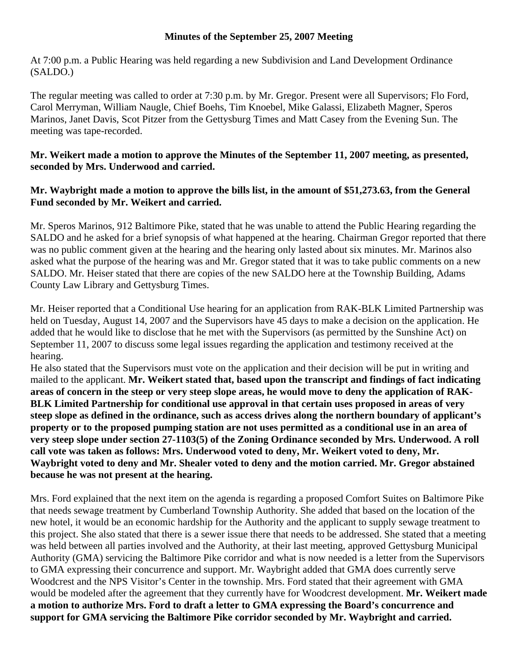## **Minutes of the September 25, 2007 Meeting**

At 7:00 p.m. a Public Hearing was held regarding a new Subdivision and Land Development Ordinance (SALDO.)

The regular meeting was called to order at 7:30 p.m. by Mr. Gregor. Present were all Supervisors; Flo Ford, Carol Merryman, William Naugle, Chief Boehs, Tim Knoebel, Mike Galassi, Elizabeth Magner, Speros Marinos, Janet Davis, Scot Pitzer from the Gettysburg Times and Matt Casey from the Evening Sun. The meeting was tape-recorded.

# **Mr. Weikert made a motion to approve the Minutes of the September 11, 2007 meeting, as presented, seconded by Mrs. Underwood and carried.**

# **Mr. Waybright made a motion to approve the bills list, in the amount of \$51,273.63, from the General Fund seconded by Mr. Weikert and carried.**

Mr. Speros Marinos, 912 Baltimore Pike, stated that he was unable to attend the Public Hearing regarding the SALDO and he asked for a brief synopsis of what happened at the hearing. Chairman Gregor reported that there was no public comment given at the hearing and the hearing only lasted about six minutes. Mr. Marinos also asked what the purpose of the hearing was and Mr. Gregor stated that it was to take public comments on a new SALDO. Mr. Heiser stated that there are copies of the new SALDO here at the Township Building, Adams County Law Library and Gettysburg Times.

Mr. Heiser reported that a Conditional Use hearing for an application from RAK-BLK Limited Partnership was held on Tuesday, August 14, 2007 and the Supervisors have 45 days to make a decision on the application. He added that he would like to disclose that he met with the Supervisors (as permitted by the Sunshine Act) on September 11, 2007 to discuss some legal issues regarding the application and testimony received at the hearing.

He also stated that the Supervisors must vote on the application and their decision will be put in writing and mailed to the applicant. **Mr. Weikert stated that, based upon the transcript and findings of fact indicating areas of concern in the steep or very steep slope areas, he would move to deny the application of RAK-BLK Limited Partnership for conditional use approval in that certain uses proposed in areas of very steep slope as defined in the ordinance, such as access drives along the northern boundary of applicant's property or to the proposed pumping station are not uses permitted as a conditional use in an area of very steep slope under section 27-1103(5) of the Zoning Ordinance seconded by Mrs. Underwood. A roll call vote was taken as follows: Mrs. Underwood voted to deny, Mr. Weikert voted to deny, Mr. Waybright voted to deny and Mr. Shealer voted to deny and the motion carried. Mr. Gregor abstained because he was not present at the hearing.** 

Mrs. Ford explained that the next item on the agenda is regarding a proposed Comfort Suites on Baltimore Pike that needs sewage treatment by Cumberland Township Authority. She added that based on the location of the new hotel, it would be an economic hardship for the Authority and the applicant to supply sewage treatment to this project. She also stated that there is a sewer issue there that needs to be addressed. She stated that a meeting was held between all parties involved and the Authority, at their last meeting, approved Gettysburg Municipal Authority (GMA) servicing the Baltimore Pike corridor and what is now needed is a letter from the Supervisors to GMA expressing their concurrence and support. Mr. Waybright added that GMA does currently serve Woodcrest and the NPS Visitor's Center in the township. Mrs. Ford stated that their agreement with GMA would be modeled after the agreement that they currently have for Woodcrest development. **Mr. Weikert made a motion to authorize Mrs. Ford to draft a letter to GMA expressing the Board's concurrence and support for GMA servicing the Baltimore Pike corridor seconded by Mr. Waybright and carried.**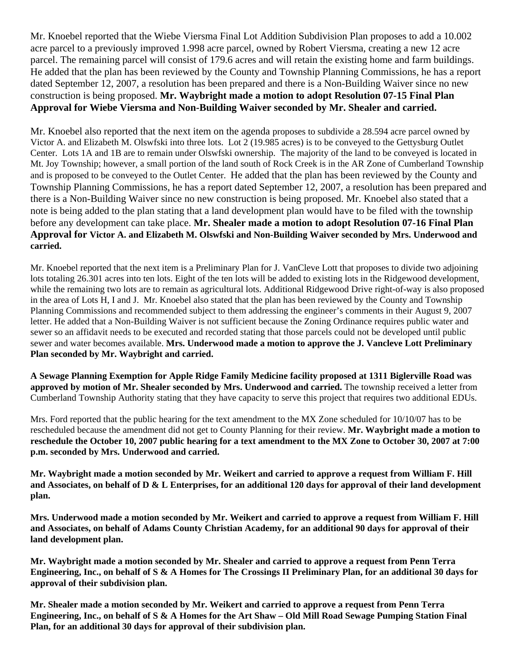Mr. Knoebel reported that the Wiebe Viersma Final Lot Addition Subdivision Plan proposes to add a 10.002 acre parcel to a previously improved 1.998 acre parcel, owned by Robert Viersma, creating a new 12 acre parcel. The remaining parcel will consist of 179.6 acres and will retain the existing home and farm buildings. He added that the plan has been reviewed by the County and Township Planning Commissions, he has a report dated September 12, 2007, a resolution has been prepared and there is a Non-Building Waiver since no new construction is being proposed. **Mr. Waybright made a motion to adopt Resolution 07-15 Final Plan Approval for Wiebe Viersma and Non-Building Waiver seconded by Mr. Shealer and carried.** 

Mr. Knoebel also reported that the next item on the agenda proposes to subdivide a 28.594 acre parcel owned by Victor A. and Elizabeth M. Olswfski into three lots. Lot 2 (19.985 acres) is to be conveyed to the Gettysburg Outlet Center. Lots 1A and 1B are to remain under Olswfski ownership. The majority of the land to be conveyed is located in Mt. Joy Township; however, a small portion of the land south of Rock Creek is in the AR Zone of Cumberland Township and is proposed to be conveyed to the Outlet Center. He added that the plan has been reviewed by the County and Township Planning Commissions, he has a report dated September 12, 2007, a resolution has been prepared and there is a Non-Building Waiver since no new construction is being proposed. Mr. Knoebel also stated that a note is being added to the plan stating that a land development plan would have to be filed with the township before any development can take place. **Mr. Shealer made a motion to adopt Resolution 07-16 Final Plan Approval for Victor A. and Elizabeth M. Olswfski and Non-Building Waiver seconded by Mrs. Underwood and carried.** 

Mr. Knoebel reported that the next item is a Preliminary Plan for J. VanCleve Lott that proposes to divide two adjoining lots totaling 26.301 acres into ten lots. Eight of the ten lots will be added to existing lots in the Ridgewood development, while the remaining two lots are to remain as agricultural lots. Additional Ridgewood Drive right-of-way is also proposed in the area of Lots H, I and J. Mr. Knoebel also stated that the plan has been reviewed by the County and Township Planning Commissions and recommended subject to them addressing the engineer's comments in their August 9, 2007 letter. He added that a Non-Building Waiver is not sufficient because the Zoning Ordinance requires public water and sewer so an affidavit needs to be executed and recorded stating that those parcels could not be developed until public sewer and water becomes available. **Mrs. Underwood made a motion to approve the J. Vancleve Lott Preliminary Plan seconded by Mr. Waybright and carried.** 

**A Sewage Planning Exemption for Apple Ridge Family Medicine facility proposed at 1311 Biglerville Road was approved by motion of Mr. Shealer seconded by Mrs. Underwood and carried.** The township received a letter from Cumberland Township Authority stating that they have capacity to serve this project that requires two additional EDUs.

Mrs. Ford reported that the public hearing for the text amendment to the MX Zone scheduled for 10/10/07 has to be rescheduled because the amendment did not get to County Planning for their review. **Mr. Waybright made a motion to reschedule the October 10, 2007 public hearing for a text amendment to the MX Zone to October 30, 2007 at 7:00 p.m. seconded by Mrs. Underwood and carried.** 

**Mr. Waybright made a motion seconded by Mr. Weikert and carried to approve a request from William F. Hill and Associates, on behalf of D & L Enterprises, for an additional 120 days for approval of their land development plan.** 

**Mrs. Underwood made a motion seconded by Mr. Weikert and carried to approve a request from William F. Hill and Associates, on behalf of Adams County Christian Academy, for an additional 90 days for approval of their land development plan.** 

**Mr. Waybright made a motion seconded by Mr. Shealer and carried to approve a request from Penn Terra Engineering, Inc., on behalf of S & A Homes for The Crossings II Preliminary Plan, for an additional 30 days for approval of their subdivision plan.** 

**Mr. Shealer made a motion seconded by Mr. Weikert and carried to approve a request from Penn Terra Engineering, Inc., on behalf of S & A Homes for the Art Shaw – Old Mill Road Sewage Pumping Station Final Plan, for an additional 30 days for approval of their subdivision plan.**